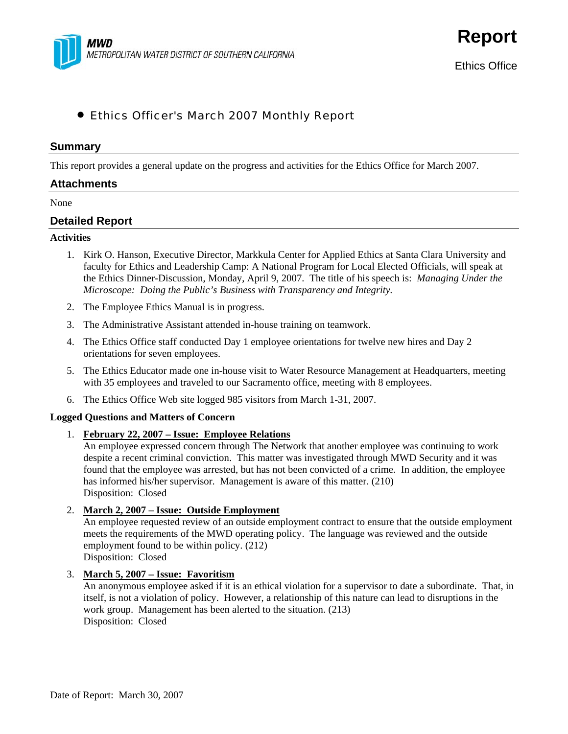

**Report**

# • Ethics Officer's March 2007 Monthly Report

### **Summary**

This report provides a general update on the progress and activities for the Ethics Office for March 2007.

### **Attachments**

None

## **Detailed Report**

#### **Activities**

- 1. Kirk O. Hanson, Executive Director, Markkula Center for Applied Ethics at Santa Clara University and faculty for Ethics and Leadership Camp: A National Program for Local Elected Officials, will speak at the Ethics Dinner-Discussion, Monday, April 9, 2007. The title of his speech is: *Managing Under the Microscope: Doing the Public's Business with Transparency and Integrity.*
- 2. The Employee Ethics Manual is in progress.
- 3. The Administrative Assistant attended in-house training on teamwork.
- 4. The Ethics Office staff conducted Day 1 employee orientations for twelve new hires and Day 2 orientations for seven employees.
- 5. The Ethics Educator made one in-house visit to Water Resource Management at Headquarters, meeting with 35 employees and traveled to our Sacramento office, meeting with 8 employees.
- 6. The Ethics Office Web site logged 985 visitors from March 1-31, 2007.

## **Logged Questions and Matters of Concern**

1. **February 22, 2007 – Issue: Employee Relations**

An employee expressed concern through The Network that another employee was continuing to work despite a recent criminal conviction. This matter was investigated through MWD Security and it was found that the employee was arrested, but has not been convicted of a crime. In addition, the employee has informed his/her supervisor. Management is aware of this matter. (210) Disposition: Closed

#### 2. **March 2, 2007 – Issue: Outside Employment**

An employee requested review of an outside employment contract to ensure that the outside employment meets the requirements of the MWD operating policy. The language was reviewed and the outside employment found to be within policy. (212) Disposition: Closed

## 3. **March 5, 2007 – Issue: Favoritism**

An anonymous employee asked if it is an ethical violation for a supervisor to date a subordinate. That, in itself, is not a violation of policy. However, a relationship of this nature can lead to disruptions in the work group. Management has been alerted to the situation. (213) Disposition: Closed